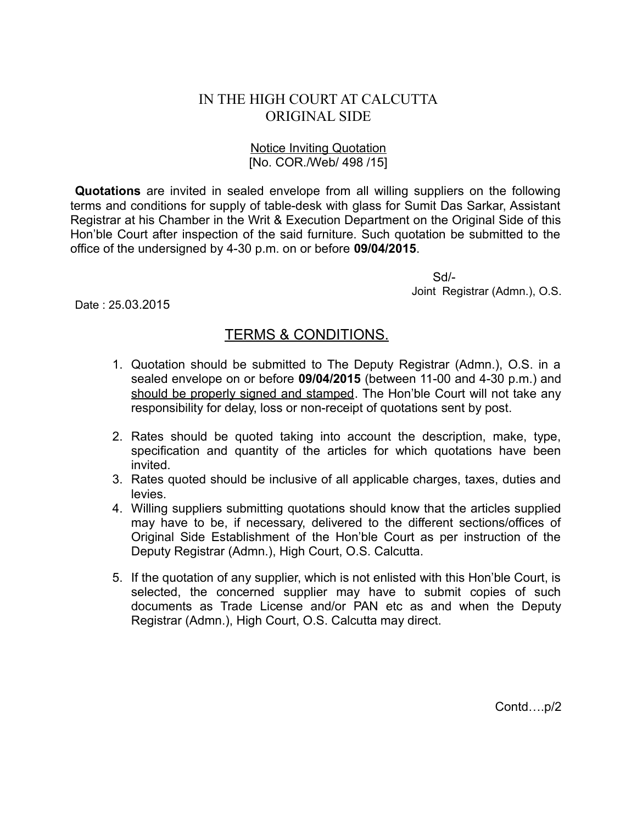## IN THE HIGH COURT AT CALCUTTA ORIGINAL SIDE

## Notice Inviting Quotation [No. COR./Web/ 498 /15]

**Quotations** are invited in sealed envelope from all willing suppliers on the following terms and conditions for supply of table-desk with glass for Sumit Das Sarkar, Assistant Registrar at his Chamber in the Writ & Execution Department on the Original Side of this Hon'ble Court after inspection of the said furniture. Such quotation be submitted to the office of the undersigned by 4-30 p.m. on or before **09/04/2015**.

> Sd/- Joint Registrar (Admn.), O.S.

Date : 25.03.2015

## TERMS & CONDITIONS.

- 1. Quotation should be submitted to The Deputy Registrar (Admn.), O.S. in a sealed envelope on or before **09/04/2015** (between 11-00 and 4-30 p.m.) and should be properly signed and stamped. The Hon'ble Court will not take any responsibility for delay, loss or non-receipt of quotations sent by post.
- 2. Rates should be quoted taking into account the description, make, type, specification and quantity of the articles for which quotations have been invited.
- 3. Rates quoted should be inclusive of all applicable charges, taxes, duties and levies.
- 4. Willing suppliers submitting quotations should know that the articles supplied may have to be, if necessary, delivered to the different sections/offices of Original Side Establishment of the Hon'ble Court as per instruction of the Deputy Registrar (Admn.), High Court, O.S. Calcutta.
- 5. If the quotation of any supplier, which is not enlisted with this Hon'ble Court, is selected, the concerned supplier may have to submit copies of such documents as Trade License and/or PAN etc as and when the Deputy Registrar (Admn.), High Court, O.S. Calcutta may direct.

Contd….p/2